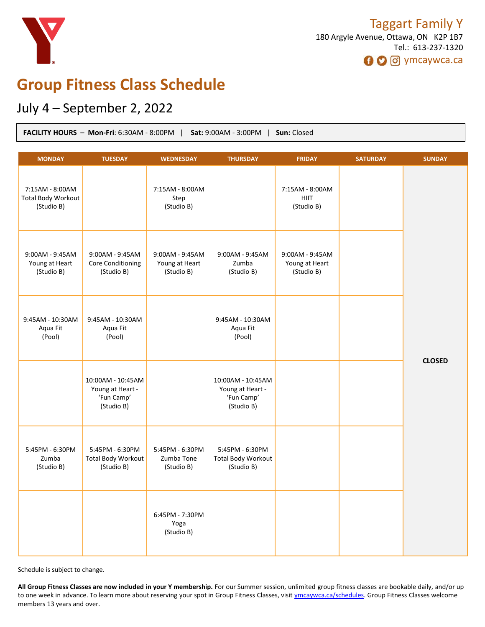

# **Group Fitness Class Schedule**

# July 4 – September 2, 2022

| <b>FACILITY HOURS - Mon-Fri: 6:30AM - 8:00PM</b><br>Sat: 9:00AM - 3:00PM  <br>Sun: Closed |                                                                   |                                                 |                                                                   |                                                 |                 |               |
|-------------------------------------------------------------------------------------------|-------------------------------------------------------------------|-------------------------------------------------|-------------------------------------------------------------------|-------------------------------------------------|-----------------|---------------|
| <b>MONDAY</b>                                                                             | <b>TUESDAY</b>                                                    | <b>WEDNESDAY</b>                                | <b>THURSDAY</b>                                                   | <b>FRIDAY</b>                                   | <b>SATURDAY</b> | <b>SUNDAY</b> |
| 7:15AM - 8:00AM<br><b>Total Body Workout</b><br>(Studio B)                                |                                                                   | 7:15AM - 8:00AM<br>Step<br>(Studio B)           |                                                                   | 7:15AM - 8:00AM<br><b>HIIT</b><br>(Studio B)    |                 | <b>CLOSED</b> |
| 9:00AM - 9:45AM<br>Young at Heart<br>(Studio B)                                           | 9:00AM - 9:45AM<br><b>Core Conditioning</b><br>(Studio B)         | 9:00AM - 9:45AM<br>Young at Heart<br>(Studio B) | 9:00AM - 9:45AM<br>Zumba<br>(Studio B)                            | 9:00AM - 9:45AM<br>Young at Heart<br>(Studio B) |                 |               |
| 9:45AM - 10:30AM<br>Aqua Fit<br>(Pool)                                                    | 9:45AM - 10:30AM<br>Aqua Fit<br>(Pool)                            |                                                 | 9:45AM - 10:30AM<br>Aqua Fit<br>(Pool)                            |                                                 |                 |               |
|                                                                                           | 10:00AM - 10:45AM<br>Young at Heart -<br>'Fun Camp'<br>(Studio B) |                                                 | 10:00AM - 10:45AM<br>Young at Heart -<br>'Fun Camp'<br>(Studio B) |                                                 |                 |               |
| 5:45PM - 6:30PM<br>Zumba<br>(Studio B)                                                    | 5:45PM - 6:30PM<br><b>Total Body Workout</b><br>(Studio B)        | 5:45PM - 6:30PM<br>Zumba Tone<br>(Studio B)     | 5:45PM - 6:30PM<br><b>Total Body Workout</b><br>(Studio B)        |                                                 |                 |               |
|                                                                                           |                                                                   | 6:45PM - 7:30PM<br>Yoga<br>(Studio B)           |                                                                   |                                                 |                 |               |

Schedule is subject to change.

**All Group Fitness Classes are now included in your Y membership.** For our Summer session, unlimited group fitness classes are bookable daily, and/or up to one week in advance. To learn more about reserving your spot in Group Fitness Classes, visit [ymcaywca.ca/schedules.](https://www.ymcaywca.ca/health-fitness/schedules/) Group Fitness Classes welcome members 13 years and over.